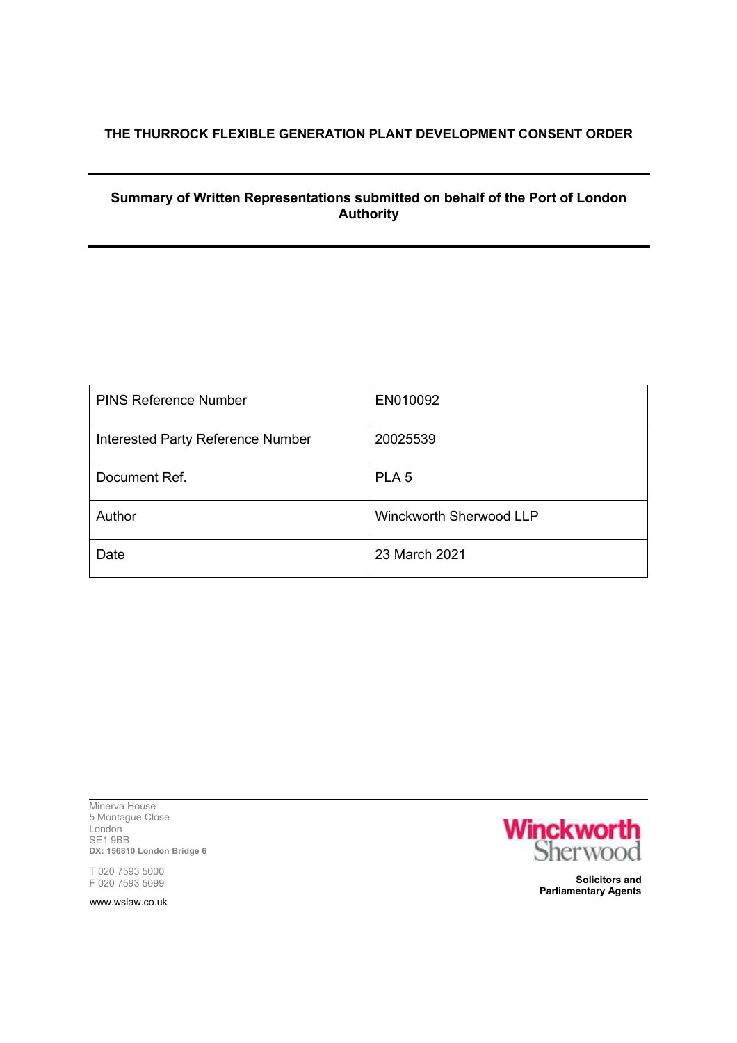## **THE THURROCK FLEXIBLE GENERATION PLANT DEVELOPMENT CONSENT ORDER**

## **Summary of Written Representations submitted on behalf of the Port of London Authority**

| <b>PINS Reference Number</b>             | EN010092                |
|------------------------------------------|-------------------------|
| <b>Interested Party Reference Number</b> | 20025539                |
| Document Ref.                            | PLA <sub>5</sub>        |
| Author                                   | Winckworth Sherwood LLP |
| Date                                     | 23 March 2021           |

Minerva House 5 Montague Close London SE1 9BB **DX: 156810 London Bridge 6**

T 020 7593 5000 F 020 7593 5099

www.wslaw.co.uk



**Solicitors and Parliamentary Agents**